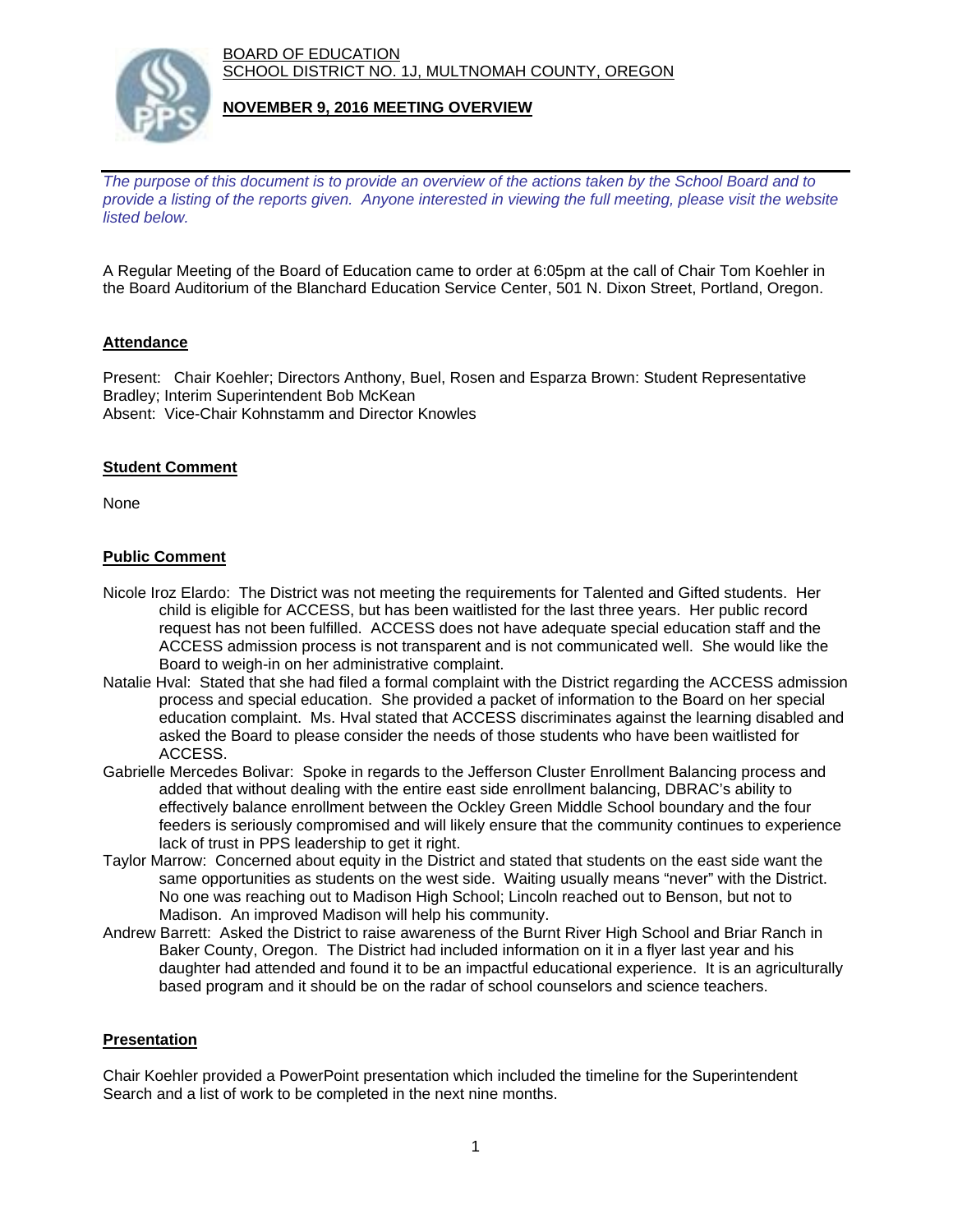BOARD OF EDUCATION SCHOOL DISTRICT NO. 1J, MULTNOMAH COUNTY, OREGON



#### **NOVEMBER 9, 2016 MEETING OVERVIEW**

*The purpose of this document is to provide an overview of the actions taken by the School Board and to provide a listing of the reports given. Anyone interested in viewing the full meeting, please visit the website listed below.*

A Regular Meeting of the Board of Education came to order at 6:05pm at the call of Chair Tom Koehler in the Board Auditorium of the Blanchard Education Service Center, 501 N. Dixon Street, Portland, Oregon.

# **Attendance**

Present: Chair Koehler; Directors Anthony, Buel, Rosen and Esparza Brown: Student Representative Bradley; Interim Superintendent Bob McKean Absent: Vice-Chair Kohnstamm and Director Knowles

# **Student Comment**

None

# **Public Comment**

- Nicole Iroz Elardo: The District was not meeting the requirements for Talented and Gifted students. Her child is eligible for ACCESS, but has been waitlisted for the last three years. Her public record request has not been fulfilled. ACCESS does not have adequate special education staff and the ACCESS admission process is not transparent and is not communicated well. She would like the Board to weigh-in on her administrative complaint.
- Natalie Hval: Stated that she had filed a formal complaint with the District regarding the ACCESS admission process and special education. She provided a packet of information to the Board on her special education complaint. Ms. Hval stated that ACCESS discriminates against the learning disabled and asked the Board to please consider the needs of those students who have been waitlisted for ACCESS.
- Gabrielle Mercedes Bolivar: Spoke in regards to the Jefferson Cluster Enrollment Balancing process and added that without dealing with the entire east side enrollment balancing, DBRAC's ability to effectively balance enrollment between the Ockley Green Middle School boundary and the four feeders is seriously compromised and will likely ensure that the community continues to experience lack of trust in PPS leadership to get it right.
- Taylor Marrow: Concerned about equity in the District and stated that students on the east side want the same opportunities as students on the west side. Waiting usually means "never" with the District. No one was reaching out to Madison High School; Lincoln reached out to Benson, but not to Madison. An improved Madison will help his community.
- Andrew Barrett: Asked the District to raise awareness of the Burnt River High School and Briar Ranch in Baker County, Oregon. The District had included information on it in a flyer last year and his daughter had attended and found it to be an impactful educational experience. It is an agriculturally based program and it should be on the radar of school counselors and science teachers.

# **Presentation**

Chair Koehler provided a PowerPoint presentation which included the timeline for the Superintendent Search and a list of work to be completed in the next nine months.